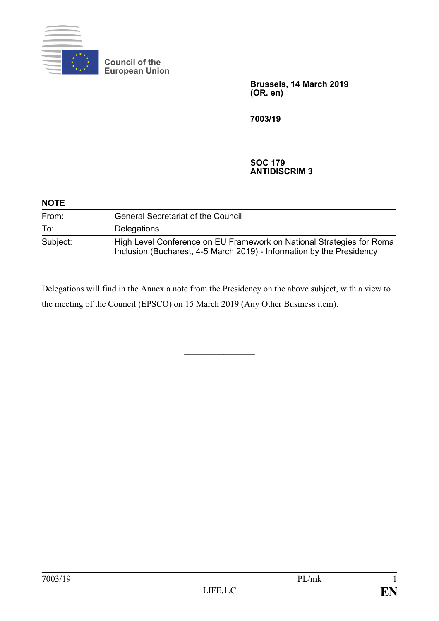

**Council of the European Union**

> **Brussels, 14 March 2019 (OR. en)**

**7003/19**

## **SOC 179 ANTIDISCRIM 3**

| <b>NOTE</b> |                                                                                                                                                |
|-------------|------------------------------------------------------------------------------------------------------------------------------------------------|
| From:       | <b>General Secretariat of the Council</b>                                                                                                      |
| To:         | Delegations                                                                                                                                    |
| Subject:    | High Level Conference on EU Framework on National Strategies for Roma<br>Inclusion (Bucharest, 4-5 March 2019) - Information by the Presidency |

Delegations will find in the Annex a note from the Presidency on the above subject, with a view to the meeting of the Council (EPSCO) on 15 March 2019 (Any Other Business item).

 $\frac{1}{2}$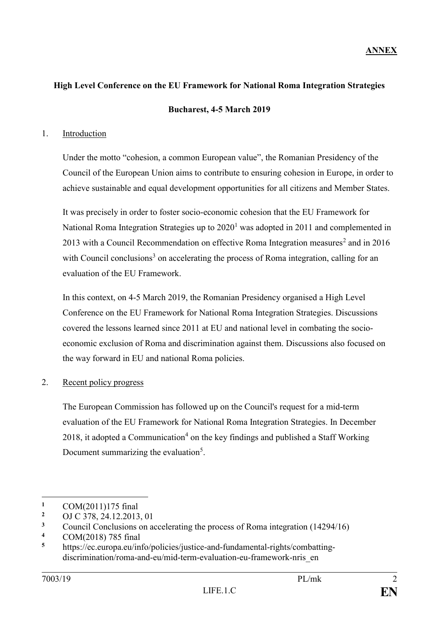## **High Level Conference on the EU Framework for National Roma Integration Strategies**

**Bucharest, 4-5 March 2019**

## 1. Introduction

Under the motto "cohesion, a common European value", the Romanian Presidency of the Council of the European Union aims to contribute to ensuring cohesion in Europe, in order to achieve sustainable and equal development opportunities for all citizens and Member States.

It was precisely in order to foster socio-economic cohesion that the EU Framework for National Roma Integration Strategies up to  $2020<sup>1</sup>$  was adopted in 2011 and complemented in 2013 with a Council Recommendation on effective Roma Integration measures<sup>2</sup> and in 2016 with Council conclusions<sup>3</sup> on accelerating the process of Roma integration, calling for an evaluation of the EU Framework.

In this context, on 4-5 March 2019, the Romanian Presidency organised a High Level Conference on the EU Framework for National Roma Integration Strategies. Discussions covered the lessons learned since 2011 at EU and national level in combating the socioeconomic exclusion of Roma and discrimination against them. Discussions also focused on the way forward in EU and national Roma policies.

2. Recent policy progress

The European Commission has followed up on the Council's request for a mid-term evaluation of the EU Framework for National Roma Integration Strategies. In December 2018, it adopted a Communication<sup>4</sup> on the key findings and published a Staff Working Document summarizing the evaluation<sup>5</sup>.

1

**<sup>1</sup>** COM(2011)175 final

**<sup>2</sup>** OJ C 378, 24.12.2013, 01

<sup>&</sup>lt;sup>3</sup> Council Conclusions on accelerating the process of Roma integration (14294/16)

**<sup>4</sup>** COM(2018) 785 final

**<sup>5</sup>** https://ec.europa.eu/info/policies/justice-and-fundamental-rights/combattingdiscrimination/roma-and-eu/mid-term-evaluation-eu-framework-nris\_en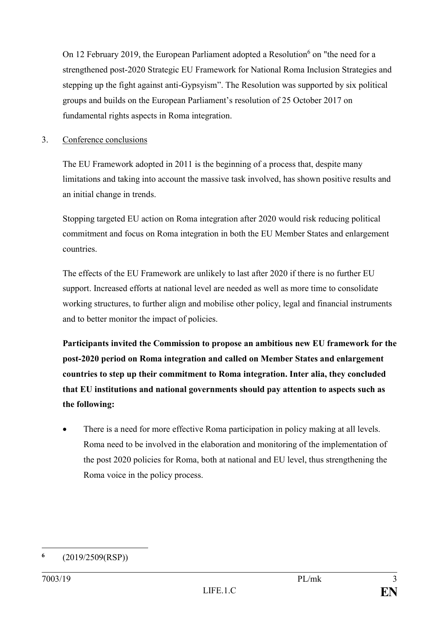On 12 February 2019, the European Parliament adopted a Resolution<sup>6</sup> on "the need for a strengthened post-2020 Strategic EU Framework for National Roma Inclusion Strategies and stepping up the fight against anti-Gypsyism". The Resolution was supported by six political groups and builds on the European Parliament's resolution of 25 October 2017 on fundamental rights aspects in Roma integration.

## 3. Conference conclusions

The EU Framework adopted in 2011 is the beginning of a process that, despite many limitations and taking into account the massive task involved, has shown positive results and an initial change in trends.

Stopping targeted EU action on Roma integration after 2020 would risk reducing political commitment and focus on Roma integration in both the EU Member States and enlargement countries.

The effects of the EU Framework are unlikely to last after 2020 if there is no further EU support. Increased efforts at national level are needed as well as more time to consolidate working structures, to further align and mobilise other policy, legal and financial instruments and to better monitor the impact of policies.

**Participants invited the Commission to propose an ambitious new EU framework for the post-2020 period on Roma integration and called on Member States and enlargement countries to step up their commitment to Roma integration. Inter alia, they concluded that EU institutions and national governments should pay attention to aspects such as the following:**

There is a need for more effective Roma participation in policy making at all levels. Roma need to be involved in the elaboration and monitoring of the implementation of the post 2020 policies for Roma, both at national and EU level, thus strengthening the Roma voice in the policy process.

<sup>1</sup> **6** (2019/2509(RSP))